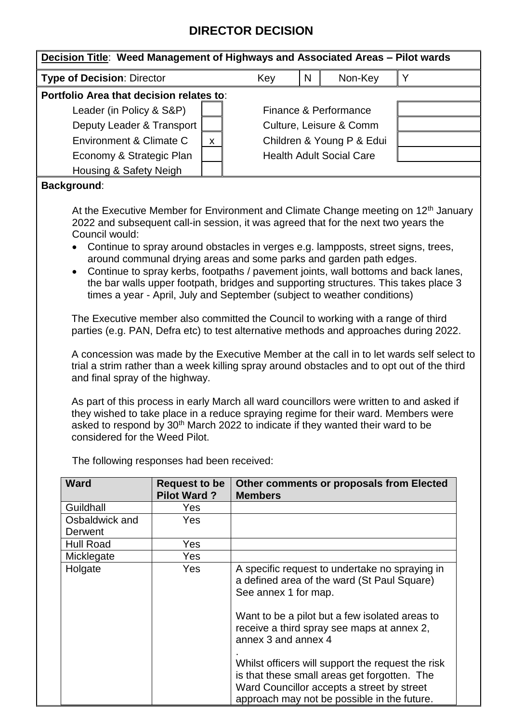## **DIRECTOR DECISION**

| <b>Type of Decision: Director</b>                                                                                                                                                                                                                                                                                                                                                                                                                                                                                                                                                                                                                                                                                                                                                                                                                                                                                                                      |                                                                                    | Key                             | N | Non-Key                 | Y |
|--------------------------------------------------------------------------------------------------------------------------------------------------------------------------------------------------------------------------------------------------------------------------------------------------------------------------------------------------------------------------------------------------------------------------------------------------------------------------------------------------------------------------------------------------------------------------------------------------------------------------------------------------------------------------------------------------------------------------------------------------------------------------------------------------------------------------------------------------------------------------------------------------------------------------------------------------------|------------------------------------------------------------------------------------|---------------------------------|---|-------------------------|---|
| Portfolio Area that decision relates to:                                                                                                                                                                                                                                                                                                                                                                                                                                                                                                                                                                                                                                                                                                                                                                                                                                                                                                               |                                                                                    |                                 |   |                         |   |
| Leader (in Policy & S&P)                                                                                                                                                                                                                                                                                                                                                                                                                                                                                                                                                                                                                                                                                                                                                                                                                                                                                                                               |                                                                                    |                                 |   | Finance & Performance   |   |
| Deputy Leader & Transport                                                                                                                                                                                                                                                                                                                                                                                                                                                                                                                                                                                                                                                                                                                                                                                                                                                                                                                              |                                                                                    |                                 |   | Culture, Leisure & Comm |   |
| Environment & Climate C                                                                                                                                                                                                                                                                                                                                                                                                                                                                                                                                                                                                                                                                                                                                                                                                                                                                                                                                | $\mathsf{x}$                                                                       | Children & Young P & Edui       |   |                         |   |
| Economy & Strategic Plan                                                                                                                                                                                                                                                                                                                                                                                                                                                                                                                                                                                                                                                                                                                                                                                                                                                                                                                               |                                                                                    | <b>Health Adult Social Care</b> |   |                         |   |
| Housing & Safety Neigh                                                                                                                                                                                                                                                                                                                                                                                                                                                                                                                                                                                                                                                                                                                                                                                                                                                                                                                                 |                                                                                    |                                 |   |                         |   |
| <b>Background:</b>                                                                                                                                                                                                                                                                                                                                                                                                                                                                                                                                                                                                                                                                                                                                                                                                                                                                                                                                     |                                                                                    |                                 |   |                         |   |
| Council would:<br>Continue to spray around obstacles in verges e.g. lampposts, street signs, trees,<br>around communal drying areas and some parks and garden path edges.<br>Continue to spray kerbs, footpaths / pavement joints, wall bottoms and back lanes,<br>$\bullet$<br>the bar walls upper footpath, bridges and supporting structures. This takes place 3<br>times a year - April, July and September (subject to weather conditions)<br>The Executive member also committed the Council to working with a range of third<br>parties (e.g. PAN, Defra etc) to test alternative methods and approaches during 2022.<br>A concession was made by the Executive Member at the call in to let wards self select to<br>trial a strim rather than a week killing spray around obstacles and to opt out of the third<br>and final spray of the highway.<br>As part of this process in early March all ward councillors were written to and asked if | they wished to take place in a reduce spraying regime for their ward. Members were |                                 |   |                         |   |

| ward                      | <b>Request to be</b><br><b>Pilot Ward?</b> | Other comments or proposals from Elected<br><b>Members</b>                                                                                                                                                                                   |
|---------------------------|--------------------------------------------|----------------------------------------------------------------------------------------------------------------------------------------------------------------------------------------------------------------------------------------------|
| Guildhall                 | Yes.                                       |                                                                                                                                                                                                                                              |
| Osbaldwick and<br>Derwent | Yes.                                       |                                                                                                                                                                                                                                              |
| <b>Hull Road</b>          | Yes                                        |                                                                                                                                                                                                                                              |
| Micklegate                | Yes                                        |                                                                                                                                                                                                                                              |
| Holgate                   | Yes                                        | A specific request to undertake no spraying in<br>a defined area of the ward (St Paul Square)<br>See annex 1 for map.<br>Want to be a pilot but a few isolated areas to<br>receive a third spray see maps at annex 2,<br>annex 3 and annex 4 |
|                           |                                            | Whilst officers will support the request the risk<br>is that these small areas get forgotten. The<br>Ward Councillor accepts a street by street<br>approach may not be possible in the future.                                               |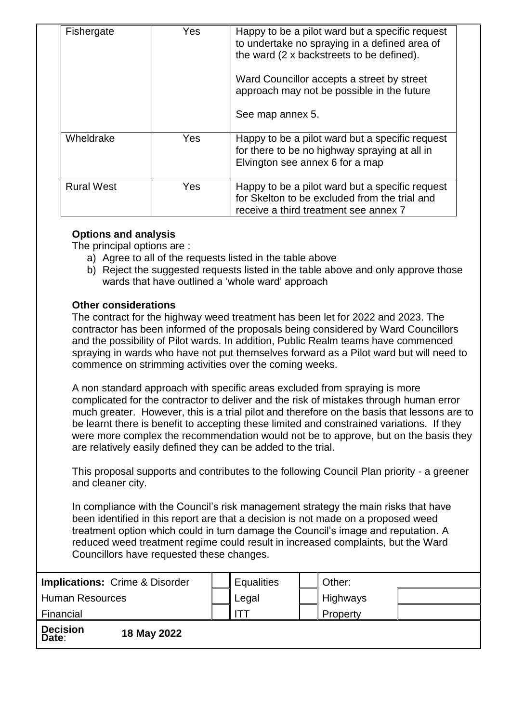| Fishergate        | Yes.       | Happy to be a pilot ward but a specific request<br>to undertake no spraying in a defined area of<br>the ward (2 x backstreets to be defined).<br>Ward Councillor accepts a street by street<br>approach may not be possible in the future<br>See map annex 5. |
|-------------------|------------|---------------------------------------------------------------------------------------------------------------------------------------------------------------------------------------------------------------------------------------------------------------|
| Wheldrake         | <b>Yes</b> | Happy to be a pilot ward but a specific request<br>for there to be no highway spraying at all in<br>Elvington see annex 6 for a map                                                                                                                           |
| <b>Rural West</b> | <b>Yes</b> | Happy to be a pilot ward but a specific request<br>for Skelton to be excluded from the trial and<br>receive a third treatment see annex 7                                                                                                                     |

## **Options and analysis**

The principal options are :

- a) Agree to all of the requests listed in the table above
- b) Reject the suggested requests listed in the table above and only approve those wards that have outlined a 'whole ward' approach

## **Other considerations**

The contract for the highway weed treatment has been let for 2022 and 2023. The contractor has been informed of the proposals being considered by Ward Councillors and the possibility of Pilot wards. In addition, Public Realm teams have commenced spraying in wards who have not put themselves forward as a Pilot ward but will need to commence on strimming activities over the coming weeks.

A non standard approach with specific areas excluded from spraying is more complicated for the contractor to deliver and the risk of mistakes through human error much greater. However, this is a trial pilot and therefore on the basis that lessons are to be learnt there is benefit to accepting these limited and constrained variations. If they were more complex the recommendation would not be to approve, but on the basis they are relatively easily defined they can be added to the trial.

This proposal supports and contributes to the following Council Plan priority - a greener and cleaner city.

In compliance with the Council's risk management strategy the main risks that have been identified in this report are that a decision is not made on a proposed weed treatment option which could in turn damage the Council's image and reputation. A reduced weed treatment regime could result in increased complaints, but the Ward Councillors have requested these changes.

| <b>Implications: Crime &amp; Disorder</b> |  | <b>Equalities</b> | Other:          |  |
|-------------------------------------------|--|-------------------|-----------------|--|
| <b>Human Resources</b>                    |  | Legal             | Highways        |  |
| Financial                                 |  |                   | <b>Property</b> |  |
| <b>Decision</b><br>18 May 2022<br>Date:   |  |                   |                 |  |